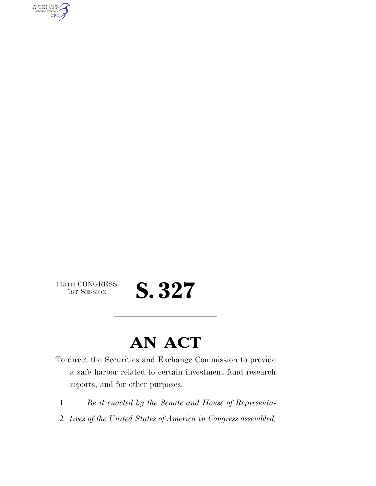AUTHENTICATED<br>U.S. GOVERNMENT<br>INFORMATION **GPO** 

 $\begin{array}{c} \textbf{115TH CONGRESS} \\ \textbf{1ST SESION} \end{array}$ 

## S. 327

### **AN ACT**

- To direct the Securities and Exchange Commission to provide a safe harbor related to certain investment fund research reports, and for other purposes.
	- 1 *Be it enacted by the Senate and House of Representa-*
	- 2 *tives of the United States of America in Congress assembled,*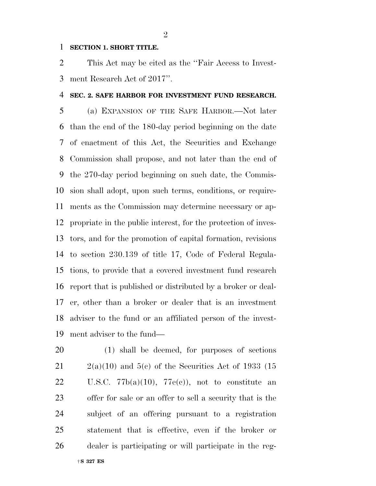#### **SECTION 1. SHORT TITLE.**

 This Act may be cited as the ''Fair Access to Invest-ment Research Act of 2017''.

#### **SEC. 2. SAFE HARBOR FOR INVESTMENT FUND RESEARCH.**

 (a) EXPANSION OF THE SAFE HARBOR.—Not later than the end of the 180-day period beginning on the date of enactment of this Act, the Securities and Exchange Commission shall propose, and not later than the end of the 270-day period beginning on such date, the Commis- sion shall adopt, upon such terms, conditions, or require- ments as the Commission may determine necessary or ap- propriate in the public interest, for the protection of inves- tors, and for the promotion of capital formation, revisions to section 230.139 of title 17, Code of Federal Regula- tions, to provide that a covered investment fund research report that is published or distributed by a broker or deal- er, other than a broker or dealer that is an investment adviser to the fund or an affiliated person of the invest-ment adviser to the fund—

 (1) shall be deemed, for purposes of sections  $21 \qquad 2(a)(10)$  and  $5(e)$  of the Securities Act of 1933 (15 22 U.S.C.  $77b(a)(10)$ ,  $77e(e)$ , not to constitute an offer for sale or an offer to sell a security that is the subject of an offering pursuant to a registration statement that is effective, even if the broker or dealer is participating or will participate in the reg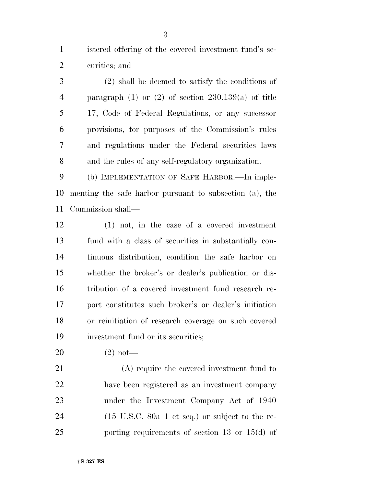istered offering of the covered investment fund's se-curities; and

 (2) shall be deemed to satisfy the conditions of paragraph (1) or (2) of section 230.139(a) of title 17, Code of Federal Regulations, or any successor provisions, for purposes of the Commission's rules and regulations under the Federal securities laws and the rules of any self-regulatory organization.

 (b) IMPLEMENTATION OF SAFE HARBOR.—In imple- menting the safe harbor pursuant to subsection (a), the Commission shall—

 (1) not, in the case of a covered investment fund with a class of securities in substantially con- tinuous distribution, condition the safe harbor on whether the broker's or dealer's publication or dis- tribution of a covered investment fund research re- port constitutes such broker's or dealer's initiation or reinitiation of research coverage on such covered investment fund or its securities;

(2) not—

 (A) require the covered investment fund to have been registered as an investment company under the Investment Company Act of 1940 (15 U.S.C. 80a–1 et seq.) or subject to the re-porting requirements of section 13 or 15(d) of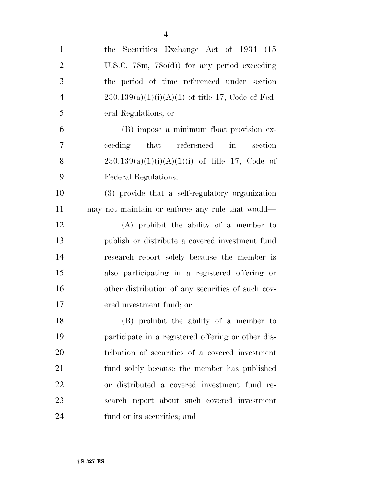| $\mathbf{1}$   | the Securities Exchange Act of 1934 (15            |
|----------------|----------------------------------------------------|
| $\overline{2}$ | U.S.C. $78m$ , $78o(d)$ for any period exceeding   |
| 3              | the period of time referenced under section        |
| $\overline{4}$ | $230.139(a)(1)(i)(A)(1)$ of title 17, Code of Fed- |
| 5              | eral Regulations; or                               |
| 6              | (B) impose a minimum float provision ex-           |
| 7              | ceeding that referenced<br>$\sin$<br>section       |
| 8              | $230.139(a)(1)(i)(A)(1)(i)$ of title 17, Code of   |
| 9              | Federal Regulations;                               |
| 10             | (3) provide that a self-regulatory organization    |
| 11             | may not maintain or enforce any rule that would—   |
| 12             | $(A)$ prohibit the ability of a member to          |
| 13             | publish or distribute a covered investment fund    |
| 14             | research report solely because the member is       |
| 15             | also participating in a registered offering or     |
| 16             | other distribution of any securities of such cov-  |
| 17             | ered investment fund; or                           |
| 18             | (B) prohibit the ability of a member to            |
| 19             | participate in a registered offering or other dis- |
| 20             | tribution of securities of a covered investment    |
| 21             | fund solely because the member has published       |
| 22             | or distributed a covered investment fund re-       |
| 23             | search report about such covered investment        |
| 24             | fund or its securities; and                        |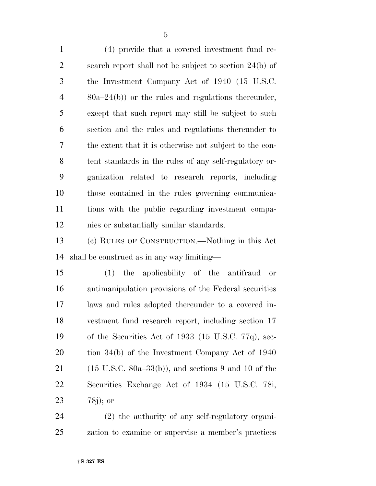(4) provide that a covered investment fund re- search report shall not be subject to section 24(b) of the Investment Company Act of 1940 (15 U.S.C. 80a–24(b)) or the rules and regulations thereunder, except that such report may still be subject to such section and the rules and regulations thereunder to the extent that it is otherwise not subject to the con- tent standards in the rules of any self-regulatory or- ganization related to research reports, including those contained in the rules governing communica- tions with the public regarding investment compa-nies or substantially similar standards.

 (c) RULES OF CONSTRUCTION.—Nothing in this Act shall be construed as in any way limiting—

 (1) the applicability of the antifraud or antimanipulation provisions of the Federal securities laws and rules adopted thereunder to a covered in- vestment fund research report, including section 17 of the Securities Act of 1933 (15 U.S.C. 77q), sec- tion 34(b) of the Investment Company Act of 1940 21 (15 U.S.C. 80a–33(b)), and sections 9 and 10 of the Securities Exchange Act of 1934 (15 U.S.C. 78i, 78j); or

 (2) the authority of any self-regulatory organi-zation to examine or supervise a member's practices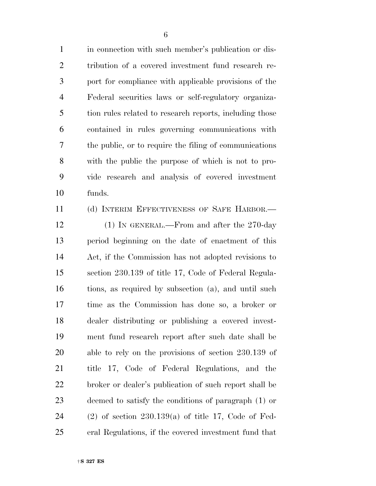in connection with such member's publication or dis- tribution of a covered investment fund research re- port for compliance with applicable provisions of the Federal securities laws or self-regulatory organiza-5 tion rules related to research reports, including those contained in rules governing communications with the public, or to require the filing of communications with the public the purpose of which is not to pro- vide research and analysis of covered investment funds.

 (d) INTERIM EFFECTIVENESS OF SAFE HARBOR.— 12 (1) In GENERAL.—From and after the 270-day period beginning on the date of enactment of this Act, if the Commission has not adopted revisions to section 230.139 of title 17, Code of Federal Regula- tions, as required by subsection (a), and until such time as the Commission has done so, a broker or dealer distributing or publishing a covered invest- ment fund research report after such date shall be able to rely on the provisions of section 230.139 of title 17, Code of Federal Regulations, and the broker or dealer's publication of such report shall be deemed to satisfy the conditions of paragraph (1) or (2) of section 230.139(a) of title 17, Code of Fed-eral Regulations, if the covered investment fund that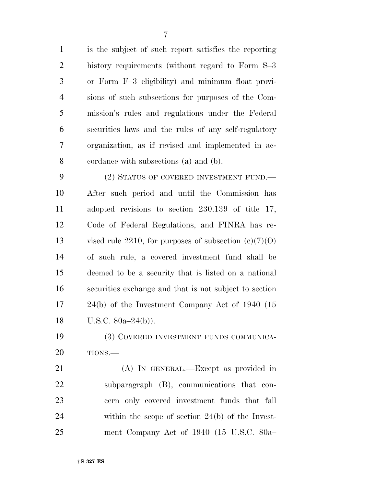is the subject of such report satisfies the reporting history requirements (without regard to Form S–3 or Form F–3 eligibility) and minimum float provi- sions of such subsections for purposes of the Com- mission's rules and regulations under the Federal securities laws and the rules of any self-regulatory organization, as if revised and implemented in ac-cordance with subsections (a) and (b).

9 (2) STATUS OF COVERED INVESTMENT FUND.— After such period and until the Commission has adopted revisions to section 230.139 of title 17, Code of Federal Regulations, and FINRA has re-13 vised rule 2210, for purposes of subsection  $(c)(7)(0)$  of such rule, a covered investment fund shall be deemed to be a security that is listed on a national securities exchange and that is not subject to section 24(b) of the Investment Company Act of 1940 (15 U.S.C. 80a–24(b)).

 (3) COVERED INVESTMENT FUNDS COMMUNICA-TIONS.—

 (A) IN GENERAL.—Except as provided in subparagraph (B), communications that con- cern only covered investment funds that fall within the scope of section 24(b) of the Invest-ment Company Act of 1940 (15 U.S.C. 80a–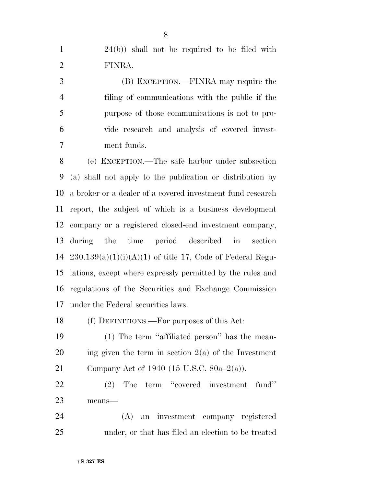24(b)) shall not be required to be filed with FINRA.

 (B) EXCEPTION.—FINRA may require the filing of communications with the public if the purpose of those communications is not to pro- vide research and analysis of covered invest-ment funds.

 (e) EXCEPTION.—The safe harbor under subsection (a) shall not apply to the publication or distribution by a broker or a dealer of a covered investment fund research report, the subject of which is a business development company or a registered closed-end investment company, during the time period described in section  $230.139(a)(1)(i)(A)(1)$  of title 17, Code of Federal Regu- lations, except where expressly permitted by the rules and regulations of the Securities and Exchange Commission under the Federal securities laws.

(f) DEFINITIONS.—For purposes of this Act:

 (1) The term ''affiliated person'' has the mean-20 ing given the term in section  $2(a)$  of the Investment Company Act of 1940 (15 U.S.C. 80a–2(a)).

 (2) The term ''covered investment fund'' means—

 (A) an investment company registered under, or that has filed an election to be treated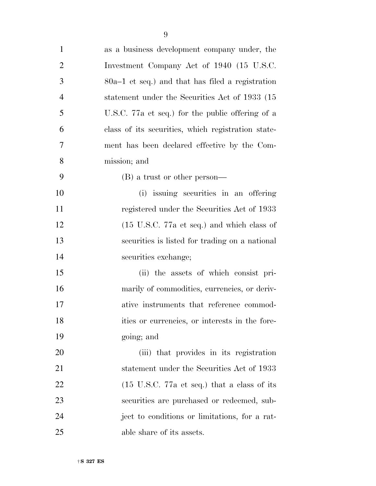| $\mathbf{1}$   | as a business development company under, the                   |
|----------------|----------------------------------------------------------------|
| $\overline{2}$ | Investment Company Act of 1940 (15 U.S.C.                      |
| 3              | $80a-1$ et seq.) and that has filed a registration             |
| $\overline{4}$ | statement under the Securities Act of 1933 (15                 |
| 5              | U.S.C. 77a et seq.) for the public offering of a               |
| 6              | class of its securities, which registration state-             |
| 7              | ment has been declared effective by the Com-                   |
| 8              | mission; and                                                   |
| 9              | $(B)$ a trust or other person—                                 |
| 10             | (i) issuing securities in an offering                          |
| 11             | registered under the Securities Act of 1933                    |
| 12             | $(15 \text{ U.S.C. } 77a \text{ et seq.})$ and which class of  |
| 13             | securities is listed for trading on a national                 |
| 14             | securities exchange;                                           |
| 15             | (ii) the assets of which consist pri-                          |
| 16             | marily of commodities, currencies, or deriv-                   |
| 17             | ative instruments that reference commod-                       |
| 18             | ities or currencies, or interests in the fore-                 |
| 19             | going; and                                                     |
| 20             | (iii) that provides in its registration                        |
| 21             | statement under the Securities Act of 1933                     |
| 22             | $(15 \text{ U.S.C. } 77a \text{ et seq.})$ that a class of its |
| 23             | securities are purchased or redeemed, sub-                     |
| 24             | ject to conditions or limitations, for a rat-                  |
| 25             | able share of its assets.                                      |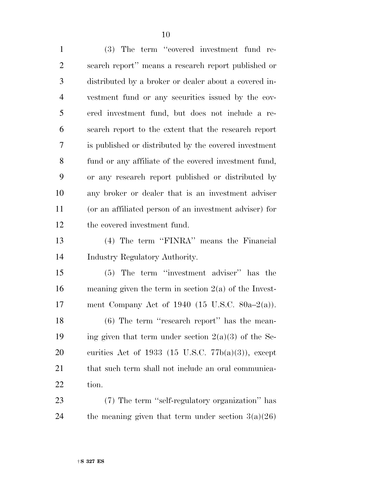(3) The term ''covered investment fund re- search report'' means a research report published or distributed by a broker or dealer about a covered in- vestment fund or any securities issued by the cov- ered investment fund, but does not include a re- search report to the extent that the research report is published or distributed by the covered investment fund or any affiliate of the covered investment fund, or any research report published or distributed by any broker or dealer that is an investment adviser (or an affiliated person of an investment adviser) for the covered investment fund. (4) The term ''FINRA'' means the Financial

Industry Regulatory Authority.

 (5) The term ''investment adviser'' has the meaning given the term in section 2(a) of the Invest-ment Company Act of 1940 (15 U.S.C. 80a–2(a)).

18 (6) The term "research report" has the mean-19 ing given that term under section  $2(a)(3)$  of the Se-20 curities Act of 1933 (15 U.S.C.  $77b(a)(3)$ ), except 21 that such term shall not include an oral communica-tion.

 (7) The term ''self-regulatory organization'' has 24 the meaning given that term under section  $3(a)(26)$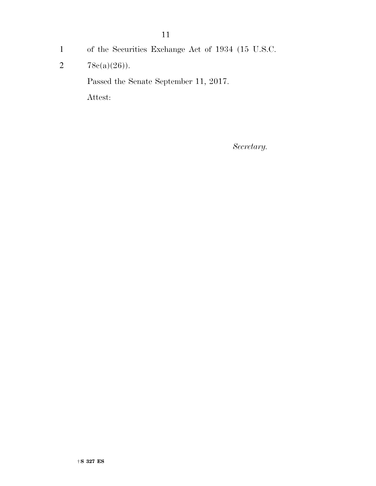11

- 1 of the Securities Exchange Act of 1934 (15 U.S.C.
- 2  $78c(a)(26)$ .

Passed the Senate September 11, 2017.

Attest:

*Secretary.*